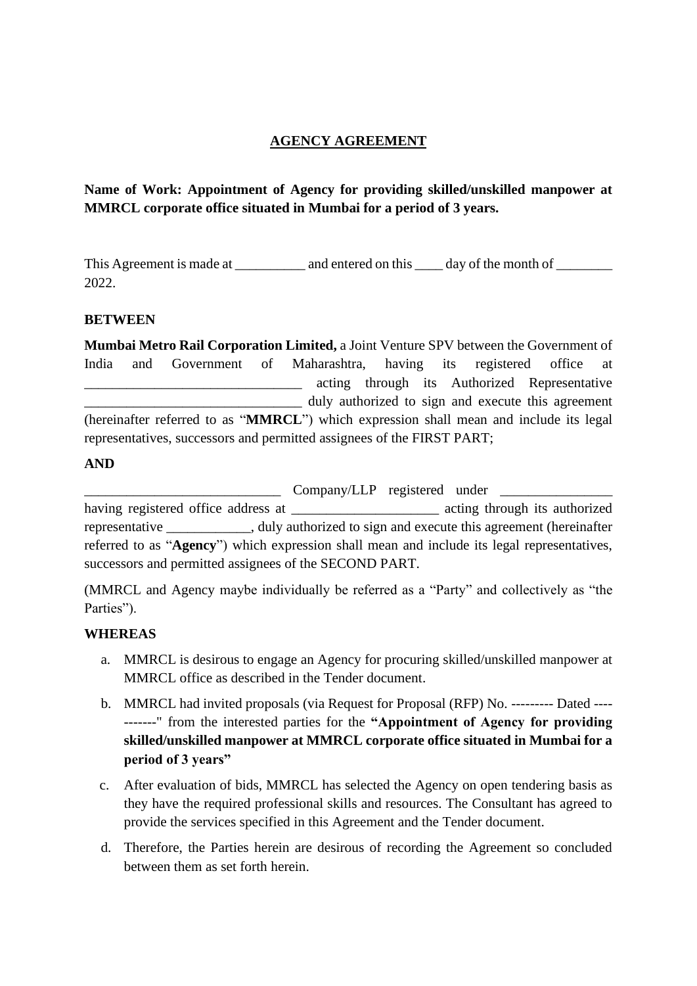# **AGENCY AGREEMENT**

# **Name of Work: Appointment of Agency for providing skilled/unskilled manpower at MMRCL corporate office situated in Mumbai for a period of 3 years.**

This Agreement is made at and entered on this day of the month of 2022.

## **BETWEEN**

**Mumbai Metro Rail Corporation Limited,** a Joint Venture SPV between the Government of India and Government of Maharashtra, having its registered office at acting through its Authorized Representative duly authorized to sign and execute this agreement (hereinafter referred to as "**MMRCL**") which expression shall mean and include its legal representatives, successors and permitted assignees of the FIRST PART;

#### **AND**

Lompany/LLP registered under having registered office address at  $\qquad \qquad$  acting through its authorized representative duly authorized to sign and execute this agreement (hereinafter referred to as "**Agency**") which expression shall mean and include its legal representatives, successors and permitted assignees of the SECOND PART.

(MMRCL and Agency maybe individually be referred as a "Party" and collectively as "the Parties").

## **WHEREAS**

- a. MMRCL is desirous to engage an Agency for procuring skilled/unskilled manpower at MMRCL office as described in the Tender document.
- b. MMRCL had invited proposals (via Request for Proposal (RFP) No. --------- Dated ---- -------" from the interested parties for the **"Appointment of Agency for providing skilled/unskilled manpower at MMRCL corporate office situated in Mumbai for a period of 3 years"**
- c. After evaluation of bids, MMRCL has selected the Agency on open tendering basis as they have the required professional skills and resources. The Consultant has agreed to provide the services specified in this Agreement and the Tender document.
- d. Therefore, the Parties herein are desirous of recording the Agreement so concluded between them as set forth herein.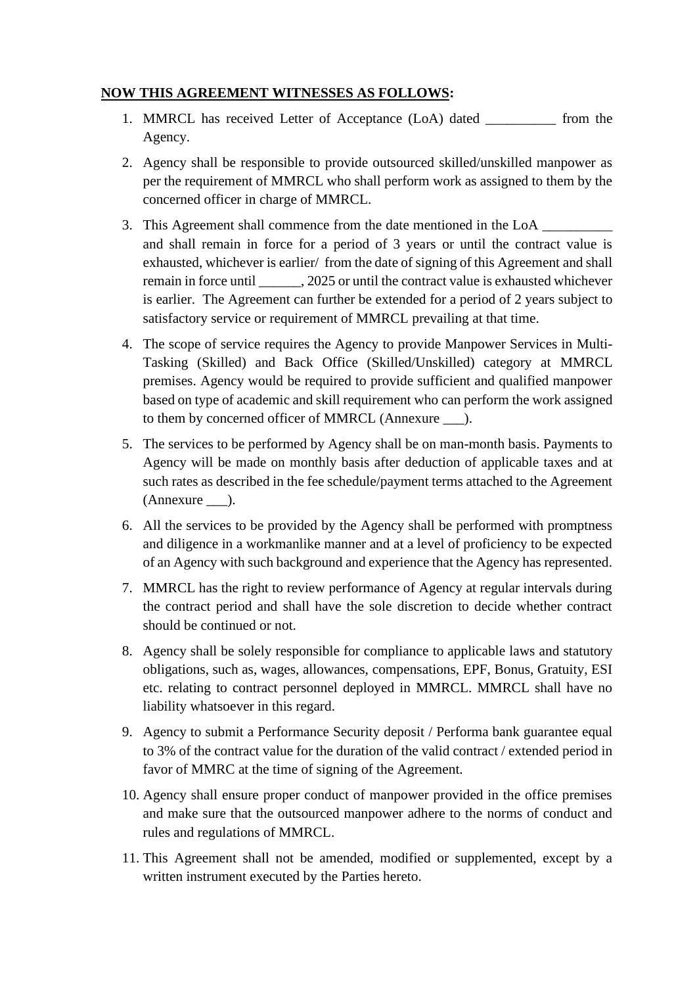# **NOW THIS AGREEMENT WITNESSES AS FOLLOWS:**

- 1. MMRCL has received Letter of Acceptance (LoA) dated \_\_\_\_\_\_\_\_\_\_ from the Agency.
- 2. Agency shall be responsible to provide outsourced skilled/unskilled manpower as per the requirement of MMRCL who shall perform work as assigned to them by the concerned officer in charge of MMRCL.
- 3. This Agreement shall commence from the date mentioned in the LoA and shall remain in force for a period of 3 years or until the contract value is exhausted, whichever is earlier/ from the date of signing of this Agreement and shall remain in force until . 2025 or until the contract value is exhausted whichever is earlier. The Agreement can further be extended for a period of 2 years subject to satisfactory service or requirement of MMRCL prevailing at that time.
- 4. The scope of service requires the Agency to provide Manpower Services in Multi-Tasking (Skilled) and Back Office (Skilled/Unskilled) category at MMRCL premises. Agency would be required to provide sufficient and qualified manpower based on type of academic and skill requirement who can perform the work assigned to them by concerned officer of MMRCL (Annexure \_\_\_).
- 5. The services to be performed by Agency shall be on man-month basis. Payments to Agency will be made on monthly basis after deduction of applicable taxes and at such rates as described in the fee schedule/payment terms attached to the Agreement (Annexure \_\_\_).
- 6. All the services to be provided by the Agency shall be performed with promptness and diligence in a workmanlike manner and at a level of proficiency to be expected of an Agency with such background and experience that the Agency has represented.
- 7. MMRCL has the right to review performance of Agency at regular intervals during the contract period and shall have the sole discretion to decide whether contract should be continued or not.
- 8. Agency shall be solely responsible for compliance to applicable laws and statutory obligations, such as, wages, allowances, compensations, EPF, Bonus, Gratuity, ESI etc. relating to contract personnel deployed in MMRCL. MMRCL shall have no liability whatsoever in this regard.
- 9. Agency to submit a Performance Security deposit / Performa bank guarantee equal to 3% of the contract value for the duration of the valid contract / extended period in favor of MMRC at the time of signing of the Agreement.
- 10. Agency shall ensure proper conduct of manpower provided in the office premises and make sure that the outsourced manpower adhere to the norms of conduct and rules and regulations of MMRCL.
- 11. This Agreement shall not be amended, modified or supplemented, except by a written instrument executed by the Parties hereto.